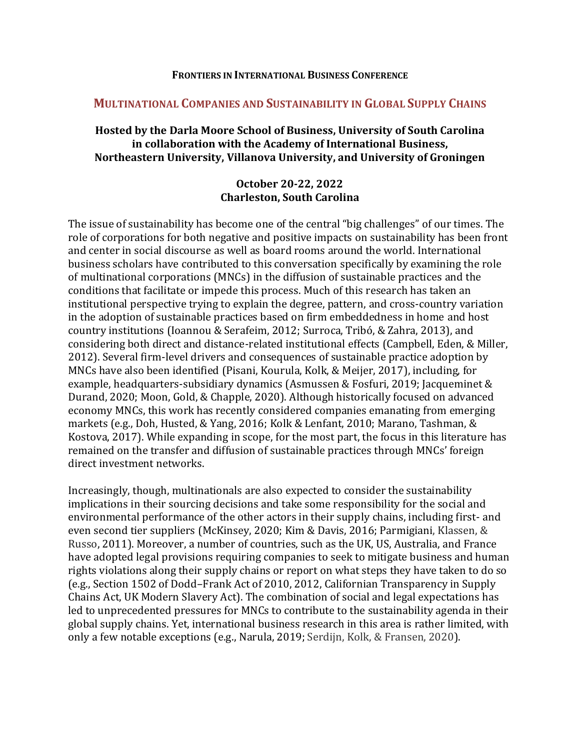#### **FRONTIERS IN INTERNATIONAL BUSINESS CONFERENCE**

## **MULTINATIONAL COMPANIES AND SUSTAINABILITY IN GLOBAL SUPPLY CHAINS**

## **Hosted by the Darla Moore School of Business, University of South Carolina in collaboration with the Academy of International Business, Northeastern University, Villanova University, and University of Groningen**

## **October 20-22, 2022 Charleston, South Carolina**

The issue of sustainability has become one of the central "big challenges" of our times. The role of corporations for both negative and positive impacts on sustainability has been front and center in social discourse as well as board rooms around the world. International business scholars have contributed to this conversation specifically by examining the role of multinational corporations (MNCs) in the diffusion of sustainable practices and the conditions that facilitate or impede this process. Much of this research has taken an institutional perspective trying to explain the degree, pattern, and cross-country variation in the adoption of sustainable practices based on firm embeddedness in home and host country institutions (Ioannou & Serafeim, 2012; Surroca, Tribó, & Zahra, 2013), and considering both direct and distance-related institutional effects (Campbell, Eden, & Miller, 2012). Several firm-level drivers and consequences of sustainable practice adoption by MNCs have also been identified (Pisani, Kourula, Kolk, & Meijer, 2017), including, for example, headquarters-subsidiary dynamics (Asmussen & Fosfuri, 2019; Jacqueminet & Durand, 2020; Moon, Gold, & Chapple, 2020). Although historically focused on advanced economy MNCs, this work has recently considered companies emanating from emerging markets (e.g., Doh, Husted, & Yang, 2016; Kolk & Lenfant, 2010; Marano, Tashman, & Kostova, 2017). While expanding in scope, for the most part, the focus in this literature has remained on the transfer and diffusion of sustainable practices through MNCs' foreign direct investment networks.

Increasingly, though, multinationals are also expected to consider the sustainability implications in their sourcing decisions and take some responsibility for the social and environmental performance of the other actors in their supply chains, including first- and even second tier suppliers (McKinsey, 2020; Kim & Davis, 2016; Parmigiani, Klassen, & Russo, 2011). Moreover, a number of countries, such as the UK, US, Australia, and France have adopted legal provisions requiring companies to seek to mitigate business and human rights violations along their supply chains or report on what steps they have taken to do so (e.g., Section 1502 of Dodd–Frank Act of 2010, 2012, Californian Transparency in Supply Chains Act, UK Modern Slavery Act). The combination of social and legal expectations has led to unprecedented pressures for MNCs to contribute to the sustainability agenda in their global supply chains. Yet, international business research in this area is rather limited, with only a few notable exceptions (e.g., Narula, 2019; Serdijn, Kolk, & Fransen, 2020).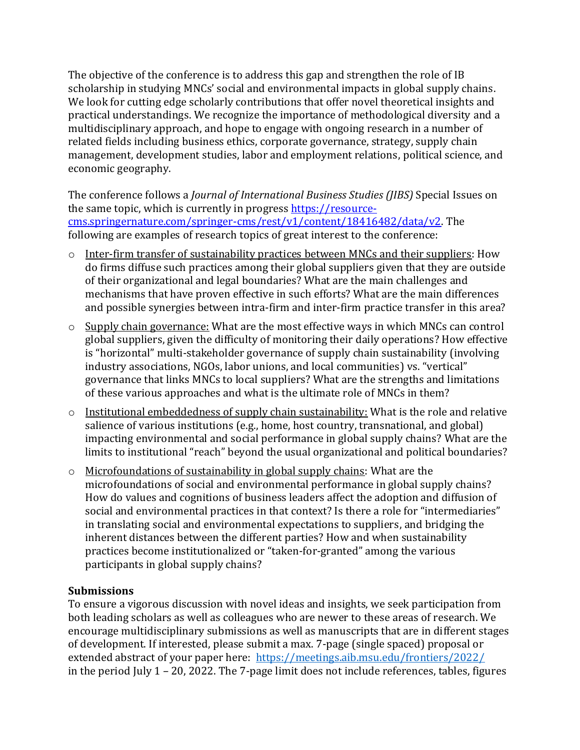The objective of the conference is to address this gap and strengthen the role of IB scholarship in studying MNCs' social and environmental impacts in global supply chains. We look for cutting edge scholarly contributions that offer novel theoretical insights and practical understandings. We recognize the importance of methodological diversity and a multidisciplinary approach, and hope to engage with ongoing research in a number of related fields including business ethics, corporate governance, strategy, supply chain management, development studies, labor and employment relations, political science, and economic geography.

The conference follows a *Journal of International Business Studies (JIBS)* Special Issues on the same topic, which is currently in progress [https://resource](https://resource-cms.springernature.com/springer-cms/rest/v1/content/18416482/data/v2)[cms.springernature.com/springer-cms/rest/v1/content/18416482/data/v2.](https://resource-cms.springernature.com/springer-cms/rest/v1/content/18416482/data/v2) The following are examples of research topics of great interest to the conference:

- o Inter-firm transfer of sustainability practices between MNCs and their suppliers: How do firms diffuse such practices among their global suppliers given that they are outside of their organizational and legal boundaries? What are the main challenges and mechanisms that have proven effective in such efforts? What are the main differences and possible synergies between intra-firm and inter-firm practice transfer in this area?
- o Supply chain governance: What are the most effective ways in which MNCs can control global suppliers, given the difficulty of monitoring their daily operations? How effective is "horizontal" multi-stakeholder governance of supply chain sustainability (involving industry associations, NGOs, labor unions, and local communities) vs. "vertical" governance that links MNCs to local suppliers? What are the strengths and limitations of these various approaches and what is the ultimate role of MNCs in them?
- o Institutional embeddedness of supply chain sustainability: What is the role and relative salience of various institutions (e.g., home, host country, transnational, and global) impacting environmental and social performance in global supply chains? What are the limits to institutional "reach" beyond the usual organizational and political boundaries?
- o Microfoundations of sustainability in global supply chains: What are the microfoundations of social and environmental performance in global supply chains? How do values and cognitions of business leaders affect the adoption and diffusion of social and environmental practices in that context? Is there a role for "intermediaries" in translating social and environmental expectations to suppliers, and bridging the inherent distances between the different parties? How and when sustainability practices become institutionalized or "taken-for-granted" among the various participants in global supply chains?

# **Submissions**

To ensure a vigorous discussion with novel ideas and insights, we seek participation from both leading scholars as well as colleagues who are newer to these areas of research. We encourage multidisciplinary submissions as well as manuscripts that are in different stages of development. If interested, please submit a max. 7-page (single spaced) proposal or extended abstract of your paper here: [https://meetings.aib.msu.edu/frontiers/2022/](https://nam12.safelinks.protection.outlook.com/?url=https%3A%2F%2Fmeetings.aib.msu.edu%2Ffrontiers%2F2022%2F&data=05%7C01%7Cv.marano%40northeastern.edu%7Ca916f519930c47f2ba5608da2de19357%7Ca8eec281aaa34daeac9b9a398b9215e7%7C0%7C0%7C637872744142410876%7CUnknown%7CTWFpbGZsb3d8eyJWIjoiMC4wLjAwMDAiLCJQIjoiV2luMzIiLCJBTiI6Ik1haWwiLCJXVCI6Mn0%3D%7C3000%7C%7C%7C&sdata=E24jOvcxI5%2BmoJ4WMMnhU6%2BGQISodu2kxBQBjLPi8%2BI%3D&reserved=0) in the period July 1 – 20, 2022. The 7-page limit does not include references, tables, figures